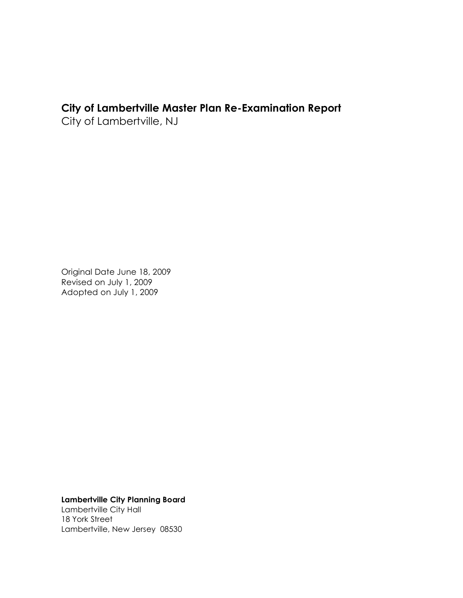# **City of Lambertville Master Plan Re-Examination Report**

City of Lambertville, NJ

Original Date June 18, 2009 Revised on July 1, 2009 Adopted on July 1, 2009

## **Lambertville City Planning Board**

Lambertville City Hall 18 York Street Lambertville, New Jersey 08530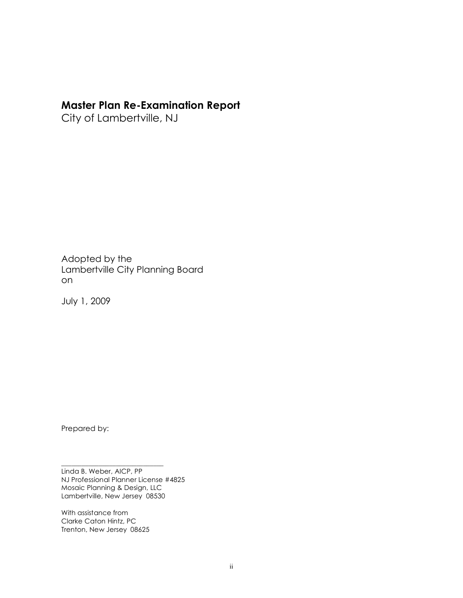# **Master Plan Re-Examination Report**

City of Lambertville, NJ

Adopted by the Lambertville City Planning Board on

July 1, 2009

Prepared by:

Linda B. Weber, AICP, PP NJ Professional Planner License #4825 Mosaic Planning & Design, LLC Lambertville, New Jersey 08530

\_\_\_\_\_\_\_\_\_\_\_\_\_\_\_\_\_\_\_\_\_\_\_\_\_\_\_\_\_\_

With assistance from Clarke Caton Hintz, PC Trenton, New Jersey 08625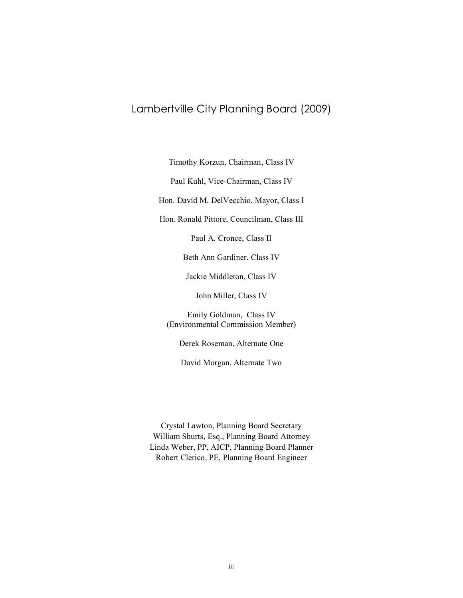## Lambertville City Planning Board (2009)

Timothy Korzun, Chairman, Class IV

Paul Kuhl, Vice-Chairman, Class IV

Hon. David M. DelVecchio, Mayor, Class I

Hon. Ronald Pittore, Councilman, Class III

Paul A. Cronce, Class II

Beth Ann Gardiner, Class IV

Jackie Middleton, Class IV

John Miller, Class IV

Emily Goldman, Class IV (Environmental Commission Member)

Derek Roseman, Alternate One

David Morgan, Alternate Two

Crystal Lawton, Planning Board Secretary William Shurts, Esq., Planning Board Attorney Linda Weber, PP, AICP, Planning Board Planner Robert Clerico, PE, Planning Board Engineer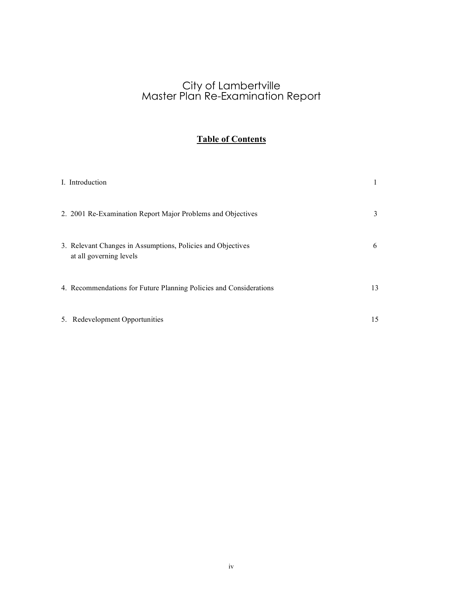## City of Lambertville Master Plan Re-Examination Report

# **Table of Contents**

| I. Introduction                                                                        |    |
|----------------------------------------------------------------------------------------|----|
| 2. 2001 Re-Examination Report Major Problems and Objectives                            | 3  |
| 3. Relevant Changes in Assumptions, Policies and Objectives<br>at all governing levels | 6  |
| 4. Recommendations for Future Planning Policies and Considerations                     | 13 |
| 5. Redevelopment Opportunities                                                         | 15 |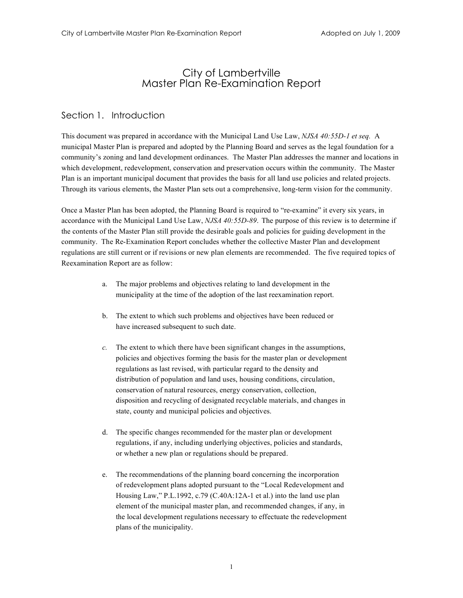## City of Lambertville Master Plan Re-Examination Report

## Section 1. Introduction

This document was prepared in accordance with the Municipal Land Use Law, *NJSA 40:55D-1 et seq.* A municipal Master Plan is prepared and adopted by the Planning Board and serves as the legal foundation for a community's zoning and land development ordinances. The Master Plan addresses the manner and locations in which development, redevelopment, conservation and preservation occurs within the community. The Master Plan is an important municipal document that provides the basis for all land use policies and related projects. Through its various elements, the Master Plan sets out a comprehensive, long-term vision for the community.

Once a Master Plan has been adopted, the Planning Board is required to "re-examine" it every six years, in accordance with the Municipal Land Use Law, *NJSA 40:55D-89*. The purpose of this review is to determine if the contents of the Master Plan still provide the desirable goals and policies for guiding development in the community. The Re-Examination Report concludes whether the collective Master Plan and development regulations are still current or if revisions or new plan elements are recommended. The five required topics of Reexamination Report are as follow:

- a. The major problems and objectives relating to land development in the municipality at the time of the adoption of the last reexamination report.
- b. The extent to which such problems and objectives have been reduced or have increased subsequent to such date.
- *c.* The extent to which there have been significant changes in the assumptions, policies and objectives forming the basis for the master plan or development regulations as last revised, with particular regard to the density and distribution of population and land uses, housing conditions, circulation, conservation of natural resources, energy conservation, collection, disposition and recycling of designated recyclable materials, and changes in state, county and municipal policies and objectives.
- d. The specific changes recommended for the master plan or development regulations, if any, including underlying objectives, policies and standards, or whether a new plan or regulations should be prepared.
- e. The recommendations of the planning board concerning the incorporation of redevelopment plans adopted pursuant to the "Local Redevelopment and Housing Law," P.L.1992, c.79 (C.40A:12A-1 et al.) into the land use plan element of the municipal master plan, and recommended changes, if any, in the local development regulations necessary to effectuate the redevelopment plans of the municipality.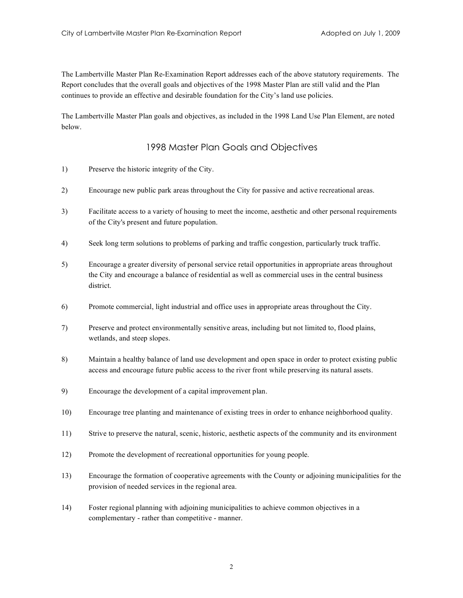The Lambertville Master Plan Re-Examination Report addresses each of the above statutory requirements. The Report concludes that the overall goals and objectives of the 1998 Master Plan are still valid and the Plan continues to provide an effective and desirable foundation for the City's land use policies.

The Lambertville Master Plan goals and objectives, as included in the 1998 Land Use Plan Element, are noted below.

## 1998 Master Plan Goals and Objectives

- 1) Preserve the historic integrity of the City.
- 2) Encourage new public park areas throughout the City for passive and active recreational areas.
- 3) Facilitate access to a variety of housing to meet the income, aesthetic and other personal requirements of the City's present and future population.
- 4) Seek long term solutions to problems of parking and traffic congestion, particularly truck traffic.
- 5) Encourage a greater diversity of personal service retail opportunities in appropriate areas throughout the City and encourage a balance of residential as well as commercial uses in the central business district.
- 6) Promote commercial, light industrial and office uses in appropriate areas throughout the City.
- 7) Preserve and protect environmentally sensitive areas, including but not limited to, flood plains, wetlands, and steep slopes.
- 8) Maintain a healthy balance of land use development and open space in order to protect existing public access and encourage future public access to the river front while preserving its natural assets.
- 9) Encourage the development of a capital improvement plan.
- 10) Encourage tree planting and maintenance of existing trees in order to enhance neighborhood quality.
- 11) Strive to preserve the natural, scenic, historic, aesthetic aspects of the community and its environment
- 12) Promote the development of recreational opportunities for young people.
- 13) Encourage the formation of cooperative agreements with the County or adjoining municipalities for the provision of needed services in the regional area.
- 14) Foster regional planning with adjoining municipalities to achieve common objectives in a complementary - rather than competitive - manner.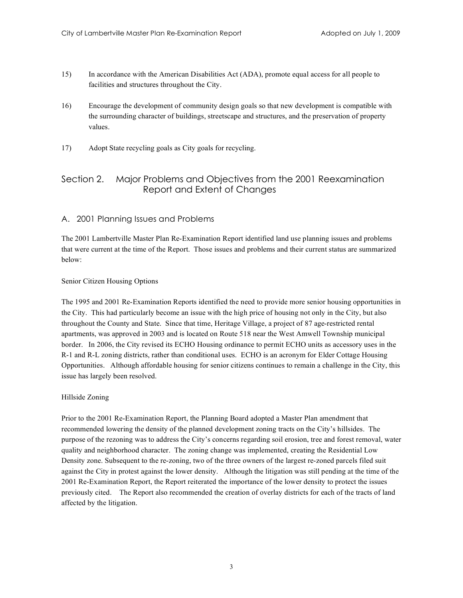- 15) In accordance with the American Disabilities Act (ADA), promote equal access for all people to facilities and structures throughout the City.
- 16) Encourage the development of community design goals so that new development is compatible with the surrounding character of buildings, streetscape and structures, and the preservation of property values.
- 17) Adopt State recycling goals as City goals for recycling.

## Section 2. Major Problems and Objectives from the 2001 Reexamination Report and Extent of Changes

## A. 2001 Planning Issues and Problems

The 2001 Lambertville Master Plan Re-Examination Report identified land use planning issues and problems that were current at the time of the Report. Those issues and problems and their current status are summarized below:

## Senior Citizen Housing Options

The 1995 and 2001 Re-Examination Reports identified the need to provide more senior housing opportunities in the City. This had particularly become an issue with the high price of housing not only in the City, but also throughout the County and State. Since that time, Heritage Village, a project of 87 age-restricted rental apartments, was approved in 2003 and is located on Route 518 near the West Amwell Township municipal border. In 2006, the City revised its ECHO Housing ordinance to permit ECHO units as accessory uses in the R-1 and R-L zoning districts, rather than conditional uses. ECHO is an acronym for Elder Cottage Housing Opportunities. Although affordable housing for senior citizens continues to remain a challenge in the City, this issue has largely been resolved.

## Hillside Zoning

Prior to the 2001 Re-Examination Report, the Planning Board adopted a Master Plan amendment that recommended lowering the density of the planned development zoning tracts on the City's hillsides. The purpose of the rezoning was to address the City's concerns regarding soil erosion, tree and forest removal, water quality and neighborhood character. The zoning change was implemented, creating the Residential Low Density zone. Subsequent to the re-zoning, two of the three owners of the largest re-zoned parcels filed suit against the City in protest against the lower density. Although the litigation was still pending at the time of the 2001 Re-Examination Report, the Report reiterated the importance of the lower density to protect the issues previously cited. The Report also recommended the creation of overlay districts for each of the tracts of land affected by the litigation.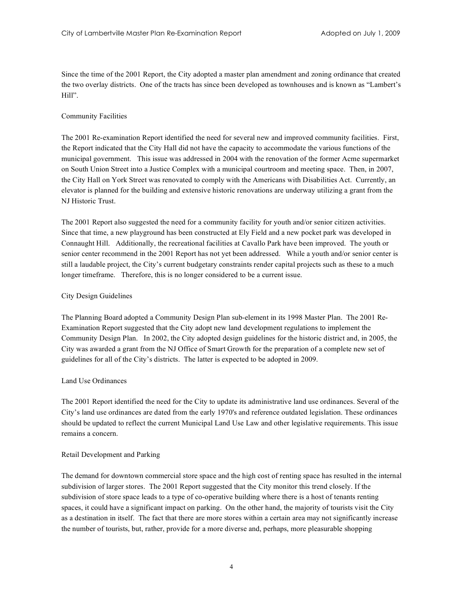Since the time of the 2001 Report, the City adopted a master plan amendment and zoning ordinance that created the two overlay districts. One of the tracts has since been developed as townhouses and is known as "Lambert's Hill".

## Community Facilities

The 2001 Re-examination Report identified the need for several new and improved community facilities. First, the Report indicated that the City Hall did not have the capacity to accommodate the various functions of the municipal government. This issue was addressed in 2004 with the renovation of the former Acme supermarket on South Union Street into a Justice Complex with a municipal courtroom and meeting space. Then, in 2007, the City Hall on York Street was renovated to comply with the Americans with Disabilities Act. Currently, an elevator is planned for the building and extensive historic renovations are underway utilizing a grant from the NJ Historic Trust.

The 2001 Report also suggested the need for a community facility for youth and/or senior citizen activities. Since that time, a new playground has been constructed at Ely Field and a new pocket park was developed in Connaught Hill. Additionally, the recreational facilities at Cavallo Park have been improved. The youth or senior center recommend in the 2001 Report has not yet been addressed. While a youth and/or senior center is still a laudable project, the City's current budgetary constraints render capital projects such as these to a much longer timeframe. Therefore, this is no longer considered to be a current issue.

## City Design Guidelines

The Planning Board adopted a Community Design Plan sub-element in its 1998 Master Plan. The 2001 Re-Examination Report suggested that the City adopt new land development regulations to implement the Community Design Plan. In 2002, the City adopted design guidelines for the historic district and, in 2005, the City was awarded a grant from the NJ Office of Smart Growth for the preparation of a complete new set of guidelines for all of the City's districts. The latter is expected to be adopted in 2009.

## Land Use Ordinances

The 2001 Report identified the need for the City to update its administrative land use ordinances. Several of the City's land use ordinances are dated from the early 1970's and reference outdated legislation. These ordinances should be updated to reflect the current Municipal Land Use Law and other legislative requirements. This issue remains a concern.

## Retail Development and Parking

The demand for downtown commercial store space and the high cost of renting space has resulted in the internal subdivision of larger stores. The 2001 Report suggested that the City monitor this trend closely. If the subdivision of store space leads to a type of co-operative building where there is a host of tenants renting spaces, it could have a significant impact on parking. On the other hand, the majority of tourists visit the City as a destination in itself. The fact that there are more stores within a certain area may not significantly increase the number of tourists, but, rather, provide for a more diverse and, perhaps, more pleasurable shopping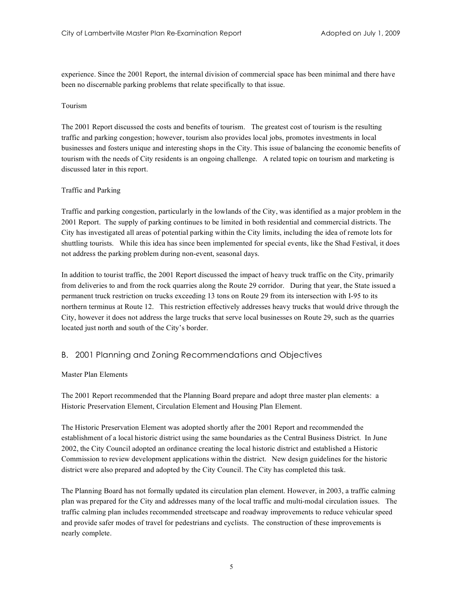experience. Since the 2001 Report, the internal division of commercial space has been minimal and there have been no discernable parking problems that relate specifically to that issue.

#### Tourism

The 2001 Report discussed the costs and benefits of tourism. The greatest cost of tourism is the resulting traffic and parking congestion; however, tourism also provides local jobs, promotes investments in local businesses and fosters unique and interesting shops in the City. This issue of balancing the economic benefits of tourism with the needs of City residents is an ongoing challenge. A related topic on tourism and marketing is discussed later in this report.

#### Traffic and Parking

Traffic and parking congestion, particularly in the lowlands of the City, was identified as a major problem in the 2001 Report. The supply of parking continues to be limited in both residential and commercial districts. The City has investigated all areas of potential parking within the City limits, including the idea of remote lots for shuttling tourists. While this idea has since been implemented for special events, like the Shad Festival, it does not address the parking problem during non-event, seasonal days.

In addition to tourist traffic, the 2001 Report discussed the impact of heavy truck traffic on the City, primarily from deliveries to and from the rock quarries along the Route 29 corridor. During that year, the State issued a permanent truck restriction on trucks exceeding 13 tons on Route 29 from its intersection with I-95 to its northern terminus at Route 12. This restriction effectively addresses heavy trucks that would drive through the City, however it does not address the large trucks that serve local businesses on Route 29, such as the quarries located just north and south of the City's border.

## B. 2001 Planning and Zoning Recommendations and Objectives

## Master Plan Elements

The 2001 Report recommended that the Planning Board prepare and adopt three master plan elements: a Historic Preservation Element, Circulation Element and Housing Plan Element.

The Historic Preservation Element was adopted shortly after the 2001 Report and recommended the establishment of a local historic district using the same boundaries as the Central Business District. In June 2002, the City Council adopted an ordinance creating the local historic district and established a Historic Commission to review development applications within the district. New design guidelines for the historic district were also prepared and adopted by the City Council. The City has completed this task.

The Planning Board has not formally updated its circulation plan element. However, in 2003, a traffic calming plan was prepared for the City and addresses many of the local traffic and multi-modal circulation issues. The traffic calming plan includes recommended streetscape and roadway improvements to reduce vehicular speed and provide safer modes of travel for pedestrians and cyclists. The construction of these improvements is nearly complete.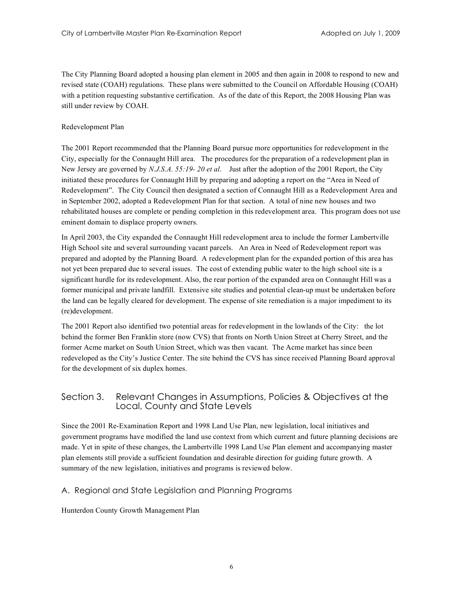The City Planning Board adopted a housing plan element in 2005 and then again in 2008 to respond to new and revised state (COAH) regulations. These plans were submitted to the Council on Affordable Housing (COAH) with a petition requesting substantive certification. As of the date of this Report, the 2008 Housing Plan was still under review by COAH.

## Redevelopment Plan

The 2001 Report recommended that the Planning Board pursue more opportunities for redevelopment in the City, especially for the Connaught Hill area. The procedures for the preparation of a redevelopment plan in New Jersey are governed by *N.J.S.A. 55:19- 20 et al*. Just after the adoption of the 2001 Report, the City initiated these procedures for Connaught Hill by preparing and adopting a report on the "Area in Need of Redevelopment". The City Council then designated a section of Connaught Hill as a Redevelopment Area and in September 2002, adopted a Redevelopment Plan for that section. A total of nine new houses and two rehabilitated houses are complete or pending completion in this redevelopment area. This program does not use eminent domain to displace property owners.

In April 2003, the City expanded the Connaught Hill redevelopment area to include the former Lambertville High School site and several surrounding vacant parcels. An Area in Need of Redevelopment report was prepared and adopted by the Planning Board. A redevelopment plan for the expanded portion of this area has not yet been prepared due to several issues. The cost of extending public water to the high school site is a significant hurdle for its redevelopment. Also, the rear portion of the expanded area on Connaught Hill was a former municipal and private landfill. Extensive site studies and potential clean-up must be undertaken before the land can be legally cleared for development. The expense of site remediation is a major impediment to its (re)development.

The 2001 Report also identified two potential areas for redevelopment in the lowlands of the City: the lot behind the former Ben Franklin store (now CVS) that fronts on North Union Street at Cherry Street, and the former Acme market on South Union Street, which was then vacant. The Acme market has since been redeveloped as the City's Justice Center. The site behind the CVS has since received Planning Board approval for the development of six duplex homes.

## Section 3. Relevant Changes in Assumptions, Policies & Objectives at the Local, County and State Levels

Since the 2001 Re-Examination Report and 1998 Land Use Plan, new legislation, local initiatives and government programs have modified the land use context from which current and future planning decisions are made. Yet in spite of these changes, the Lambertville 1998 Land Use Plan element and accompanying master plan elements still provide a sufficient foundation and desirable direction for guiding future growth. A summary of the new legislation, initiatives and programs is reviewed below.

## A. Regional and State Legislation and Planning Programs

Hunterdon County Growth Management Plan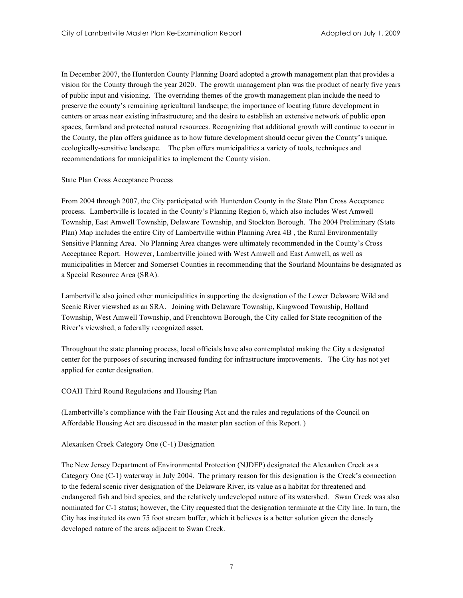In December 2007, the Hunterdon County Planning Board adopted a growth management plan that provides a vision for the County through the year 2020. The growth management plan was the product of nearly five years of public input and visioning. The overriding themes of the growth management plan include the need to preserve the county's remaining agricultural landscape; the importance of locating future development in centers or areas near existing infrastructure; and the desire to establish an extensive network of public open spaces, farmland and protected natural resources. Recognizing that additional growth will continue to occur in the County, the plan offers guidance as to how future development should occur given the County's unique, ecologically-sensitive landscape. The plan offers municipalities a variety of tools, techniques and recommendations for municipalities to implement the County vision.

## State Plan Cross Acceptance Process

From 2004 through 2007, the City participated with Hunterdon County in the State Plan Cross Acceptance process. Lambertville is located in the County's Planning Region 6, which also includes West Amwell Township, East Amwell Township, Delaware Township, and Stockton Borough. The 2004 Preliminary (State Plan) Map includes the entire City of Lambertville within Planning Area 4B , the Rural Environmentally Sensitive Planning Area. No Planning Area changes were ultimately recommended in the County's Cross Acceptance Report. However, Lambertville joined with West Amwell and East Amwell, as well as municipalities in Mercer and Somerset Counties in recommending that the Sourland Mountains be designated as a Special Resource Area (SRA).

Lambertville also joined other municipalities in supporting the designation of the Lower Delaware Wild and Scenic River viewshed as an SRA. Joining with Delaware Township, Kingwood Township, Holland Township, West Amwell Township, and Frenchtown Borough, the City called for State recognition of the River's viewshed, a federally recognized asset.

Throughout the state planning process, local officials have also contemplated making the City a designated center for the purposes of securing increased funding for infrastructure improvements. The City has not yet applied for center designation.

## COAH Third Round Regulations and Housing Plan

(Lambertville's compliance with the Fair Housing Act and the rules and regulations of the Council on Affordable Housing Act are discussed in the master plan section of this Report. )

## Alexauken Creek Category One (C-1) Designation

The New Jersey Department of Environmental Protection (NJDEP) designated the Alexauken Creek as a Category One (C-1) waterway in July 2004. The primary reason for this designation is the Creek's connection to the federal scenic river designation of the Delaware River, its value as a habitat for threatened and endangered fish and bird species, and the relatively undeveloped nature of its watershed. Swan Creek was also nominated for C-1 status; however, the City requested that the designation terminate at the City line. In turn, the City has instituted its own 75 foot stream buffer, which it believes is a better solution given the densely developed nature of the areas adjacent to Swan Creek.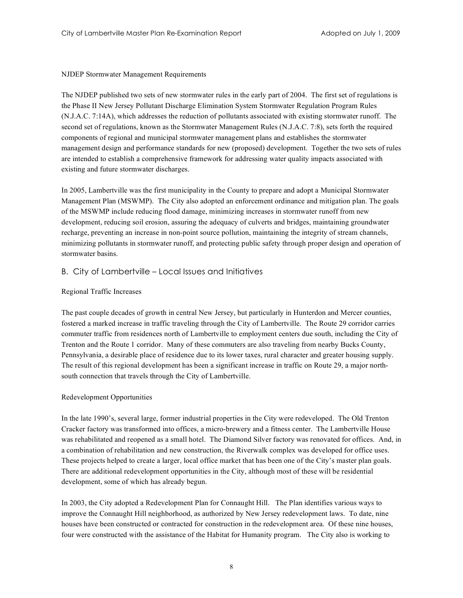#### NJDEP Stormwater Management Requirements

The NJDEP published two sets of new stormwater rules in the early part of 2004. The first set of regulations is the Phase II New Jersey Pollutant Discharge Elimination System Stormwater Regulation Program Rules (N.J.A.C. 7:14A), which addresses the reduction of pollutants associated with existing stormwater runoff. The second set of regulations, known as the Stormwater Management Rules (N.J.A.C. 7:8), sets forth the required components of regional and municipal stormwater management plans and establishes the stormwater management design and performance standards for new (proposed) development. Together the two sets of rules are intended to establish a comprehensive framework for addressing water quality impacts associated with existing and future stormwater discharges.

In 2005, Lambertville was the first municipality in the County to prepare and adopt a Municipal Stormwater Management Plan (MSWMP). The City also adopted an enforcement ordinance and mitigation plan. The goals of the MSWMP include reducing flood damage, minimizing increases in stormwater runoff from new development, reducing soil erosion, assuring the adequacy of culverts and bridges, maintaining groundwater recharge, preventing an increase in non-point source pollution, maintaining the integrity of stream channels, minimizing pollutants in stormwater runoff, and protecting public safety through proper design and operation of stormwater basins.

## B. City of Lambertville – Local Issues and Initiatives

## Regional Traffic Increases

The past couple decades of growth in central New Jersey, but particularly in Hunterdon and Mercer counties, fostered a marked increase in traffic traveling through the City of Lambertville. The Route 29 corridor carries commuter traffic from residences north of Lambertville to employment centers due south, including the City of Trenton and the Route 1 corridor. Many of these commuters are also traveling from nearby Bucks County, Pennsylvania, a desirable place of residence due to its lower taxes, rural character and greater housing supply. The result of this regional development has been a significant increase in traffic on Route 29, a major northsouth connection that travels through the City of Lambertville.

## Redevelopment Opportunities

In the late 1990's, several large, former industrial properties in the City were redeveloped. The Old Trenton Cracker factory was transformed into offices, a micro-brewery and a fitness center. The Lambertville House was rehabilitated and reopened as a small hotel. The Diamond Silver factory was renovated for offices. And, in a combination of rehabilitation and new construction, the Riverwalk complex was developed for office uses. These projects helped to create a larger, local office market that has been one of the City's master plan goals. There are additional redevelopment opportunities in the City, although most of these will be residential development, some of which has already begun.

In 2003, the City adopted a Redevelopment Plan for Connaught Hill. The Plan identifies various ways to improve the Connaught Hill neighborhood, as authorized by New Jersey redevelopment laws. To date, nine houses have been constructed or contracted for construction in the redevelopment area. Of these nine houses, four were constructed with the assistance of the Habitat for Humanity program. The City also is working to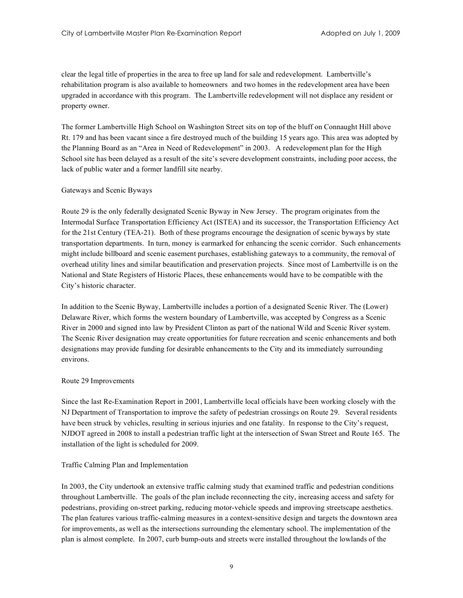clear the legal title of properties in the area to free up land for sale and redevelopment. Lambertville's rehabilitation program is also available to homeowners and two homes in the redevelopment area have been upgraded in accordance with this program. The Lambertville redevelopment will not displace any resident or property owner.

The former Lambertville High School on Washington Street sits on top of the bluff on Connaught Hill above Rt. 179 and has been vacant since a fire destroyed much of the building 15 years ago. This area was adopted by the Planning Board as an "Area in Need of Redevelopment" in 2003. A redevelopment plan for the High School site has been delayed as a result of the site's severe development constraints, including poor access, the lack of public water and a former landfill site nearby.

#### Gateways and Scenic Byways

Route 29 is the only federally designated Scenic Byway in New Jersey. The program originates from the Intermodal Surface Transportation Efficiency Act (ISTEA) and its successor, the Transportation Efficiency Act for the 21st Century (TEA-21). Both of these programs encourage the designation of scenic byways by state transportation departments. In turn, money is earmarked for enhancing the scenic corridor. Such enhancements might include billboard and scenic easement purchases, establishing gateways to a community, the removal of overhead utility lines and similar beautification and preservation projects. Since most of Lambertville is on the National and State Registers of Historic Places, these enhancements would have to be compatible with the City's historic character.

In addition to the Scenic Byway, Lambertville includes a portion of a designated Scenic River. The (Lower) Delaware River, which forms the western boundary of Lambertville, was accepted by Congress as a Scenic River in 2000 and signed into law by President Clinton as part of the national Wild and Scenic River system. The Scenic River designation may create opportunities for future recreation and scenic enhancements and both designations may provide funding for desirable enhancements to the City and its immediately surrounding environs.

#### Route 29 Improvements

Since the last Re-Examination Report in 2001, Lambertville local officials have been working closely with the NJ Department of Transportation to improve the safety of pedestrian crossings on Route 29. Several residents have been struck by vehicles, resulting in serious injuries and one fatality. In response to the City's request, NJDOT agreed in 2008 to install a pedestrian traffic light at the intersection of Swan Street and Route 165. The installation of the light is scheduled for 2009.

#### Traffic Calming Plan and Implementation

In 2003, the City undertook an extensive traffic calming study that examined traffic and pedestrian conditions throughout Lambertville. The goals of the plan include reconnecting the city, increasing access and safety for pedestrians, providing on-street parking, reducing motor-vehicle speeds and improving streetscape aesthetics. The plan features various traffic-calming measures in a context-sensitive design and targets the downtown area for improvements, as well as the intersections surrounding the elementary school. The implementation of the plan is almost complete. In 2007, curb bump-outs and streets were installed throughout the lowlands of the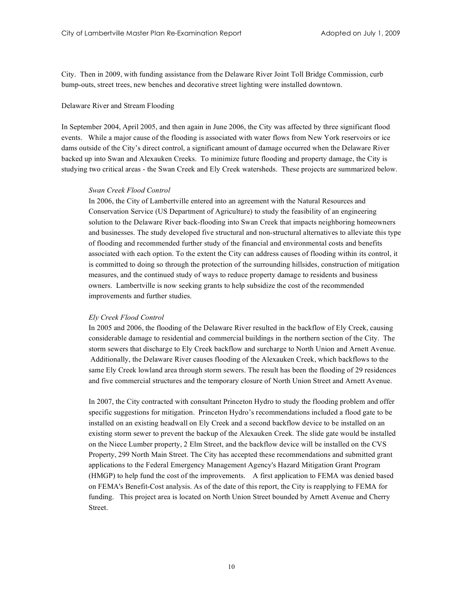City. Then in 2009, with funding assistance from the Delaware River Joint Toll Bridge Commission, curb bump-outs, street trees, new benches and decorative street lighting were installed downtown.

#### Delaware River and Stream Flooding

In September 2004, April 2005, and then again in June 2006, the City was affected by three significant flood events. While a major cause of the flooding is associated with water flows from New York reservoirs or ice dams outside of the City's direct control, a significant amount of damage occurred when the Delaware River backed up into Swan and Alexauken Creeks. To minimize future flooding and property damage, the City is studying two critical areas - the Swan Creek and Ely Creek watersheds. These projects are summarized below.

#### *Swan Creek Flood Control*

In 2006, the City of Lambertville entered into an agreement with the Natural Resources and Conservation Service (US Department of Agriculture) to study the feasibility of an engineering solution to the Delaware River back-flooding into Swan Creek that impacts neighboring homeowners and businesses. The study developed five structural and non-structural alternatives to alleviate this type of flooding and recommended further study of the financial and environmental costs and benefits associated with each option. To the extent the City can address causes of flooding within its control, it is committed to doing so through the protection of the surrounding hillsides, construction of mitigation measures, and the continued study of ways to reduce property damage to residents and business owners. Lambertville is now seeking grants to help subsidize the cost of the recommended improvements and further studies.

#### *Ely Creek Flood Control*

In 2005 and 2006, the flooding of the Delaware River resulted in the backflow of Ely Creek, causing considerable damage to residential and commercial buildings in the northern section of the City. The storm sewers that discharge to Ely Creek backflow and surcharge to North Union and Arnett Avenue. Additionally, the Delaware River causes flooding of the Alexauken Creek, which backflows to the same Ely Creek lowland area through storm sewers. The result has been the flooding of 29 residences and five commercial structures and the temporary closure of North Union Street and Arnett Avenue.

In 2007, the City contracted with consultant Princeton Hydro to study the flooding problem and offer specific suggestions for mitigation. Princeton Hydro's recommendations included a flood gate to be installed on an existing headwall on Ely Creek and a second backflow device to be installed on an existing storm sewer to prevent the backup of the Alexauken Creek. The slide gate would be installed on the Niece Lumber property, 2 Elm Street, and the backflow device will be installed on the CVS Property, 299 North Main Street. The City has accepted these recommendations and submitted grant applications to the Federal Emergency Management Agency's Hazard Mitigation Grant Program (HMGP) to help fund the cost of the improvements. A first application to FEMA was denied based on FEMA's Benefit-Cost analysis. As of the date of this report, the City is reapplying to FEMA for funding. This project area is located on North Union Street bounded by Arnett Avenue and Cherry Street.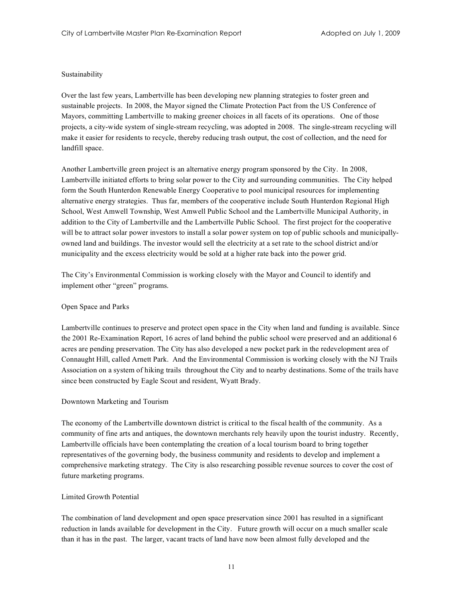## Sustainability

Over the last few years, Lambertville has been developing new planning strategies to foster green and sustainable projects. In 2008, the Mayor signed the Climate Protection Pact from the US Conference of Mayors, committing Lambertville to making greener choices in all facets of its operations. One of those projects, a city-wide system of single-stream recycling, was adopted in 2008. The single-stream recycling will make it easier for residents to recycle, thereby reducing trash output, the cost of collection, and the need for landfill space.

Another Lambertville green project is an alternative energy program sponsored by the City. In 2008, Lambertville initiated efforts to bring solar power to the City and surrounding communities. The City helped form the South Hunterdon Renewable Energy Cooperative to pool municipal resources for implementing alternative energy strategies. Thus far, members of the cooperative include South Hunterdon Regional High School, West Amwell Township, West Amwell Public School and the Lambertville Municipal Authority, in addition to the City of Lambertville and the Lambertville Public School. The first project for the cooperative will be to attract solar power investors to install a solar power system on top of public schools and municipallyowned land and buildings. The investor would sell the electricity at a set rate to the school district and/or municipality and the excess electricity would be sold at a higher rate back into the power grid.

The City's Environmental Commission is working closely with the Mayor and Council to identify and implement other "green" programs.

## Open Space and Parks

Lambertville continues to preserve and protect open space in the City when land and funding is available. Since the 2001 Re-Examination Report, 16 acres of land behind the public school were preserved and an additional 6 acres are pending preservation. The City has also developed a new pocket park in the redevelopment area of Connaught Hill, called Arnett Park. And the Environmental Commission is working closely with the NJ Trails Association on a system of hiking trails throughout the City and to nearby destinations. Some of the trails have since been constructed by Eagle Scout and resident, Wyatt Brady.

## Downtown Marketing and Tourism

The economy of the Lambertville downtown district is critical to the fiscal health of the community. As a community of fine arts and antiques, the downtown merchants rely heavily upon the tourist industry. Recently, Lambertville officials have been contemplating the creation of a local tourism board to bring together representatives of the governing body, the business community and residents to develop and implement a comprehensive marketing strategy. The City is also researching possible revenue sources to cover the cost of future marketing programs.

## Limited Growth Potential

The combination of land development and open space preservation since 2001 has resulted in a significant reduction in lands available for development in the City. Future growth will occur on a much smaller scale than it has in the past. The larger, vacant tracts of land have now been almost fully developed and the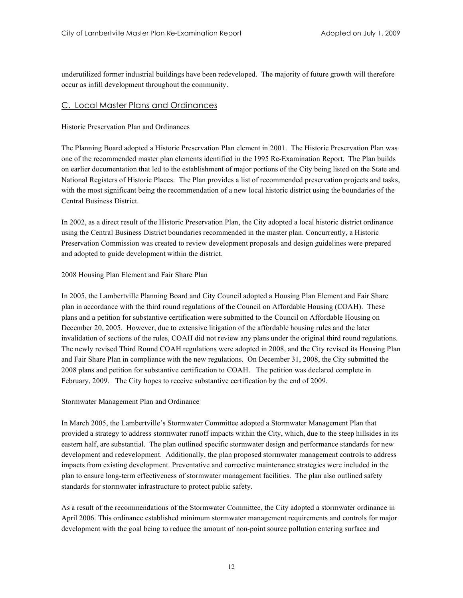underutilized former industrial buildings have been redeveloped. The majority of future growth will therefore occur as infill development throughout the community.

## C. Local Master Plans and Ordinances

## Historic Preservation Plan and Ordinances

The Planning Board adopted a Historic Preservation Plan element in 2001. The Historic Preservation Plan was one of the recommended master plan elements identified in the 1995 Re-Examination Report. The Plan builds on earlier documentation that led to the establishment of major portions of the City being listed on the State and National Registers of Historic Places. The Plan provides a list of recommended preservation projects and tasks, with the most significant being the recommendation of a new local historic district using the boundaries of the Central Business District.

In 2002, as a direct result of the Historic Preservation Plan, the City adopted a local historic district ordinance using the Central Business District boundaries recommended in the master plan. Concurrently, a Historic Preservation Commission was created to review development proposals and design guidelines were prepared and adopted to guide development within the district.

## 2008 Housing Plan Element and Fair Share Plan

In 2005, the Lambertville Planning Board and City Council adopted a Housing Plan Element and Fair Share plan in accordance with the third round regulations of the Council on Affordable Housing (COAH). These plans and a petition for substantive certification were submitted to the Council on Affordable Housing on December 20, 2005. However, due to extensive litigation of the affordable housing rules and the later invalidation of sections of the rules, COAH did not review any plans under the original third round regulations. The newly revised Third Round COAH regulations were adopted in 2008, and the City revised its Housing Plan and Fair Share Plan in compliance with the new regulations. On December 31, 2008, the City submitted the 2008 plans and petition for substantive certification to COAH. The petition was declared complete in February, 2009. The City hopes to receive substantive certification by the end of 2009.

## Stormwater Management Plan and Ordinance

In March 2005, the Lambertville's Stormwater Committee adopted a Stormwater Management Plan that provided a strategy to address stormwater runoff impacts within the City, which, due to the steep hillsides in its eastern half, are substantial. The plan outlined specific stormwater design and performance standards for new development and redevelopment. Additionally, the plan proposed stormwater management controls to address impacts from existing development. Preventative and corrective maintenance strategies were included in the plan to ensure long-term effectiveness of stormwater management facilities. The plan also outlined safety standards for stormwater infrastructure to protect public safety.

As a result of the recommendations of the Stormwater Committee, the City adopted a stormwater ordinance in April 2006. This ordinance established minimum stormwater management requirements and controls for major development with the goal being to reduce the amount of non-point source pollution entering surface and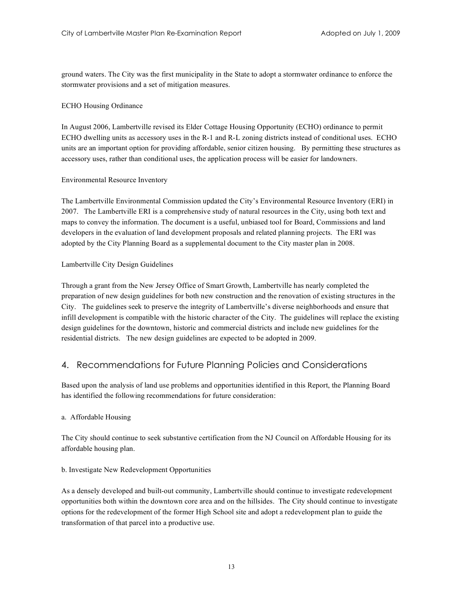ground waters. The City was the first municipality in the State to adopt a stormwater ordinance to enforce the stormwater provisions and a set of mitigation measures.

## ECHO Housing Ordinance

In August 2006, Lambertville revised its Elder Cottage Housing Opportunity (ECHO) ordinance to permit ECHO dwelling units as accessory uses in the R-1 and R-L zoning districts instead of conditional uses. ECHO units are an important option for providing affordable, senior citizen housing. By permitting these structures as accessory uses, rather than conditional uses, the application process will be easier for landowners.

## Environmental Resource Inventory

The Lambertville Environmental Commission updated the City's Environmental Resource Inventory (ERI) in 2007. The Lambertville ERI is a comprehensive study of natural resources in the City, using both text and maps to convey the information. The document is a useful, unbiased tool for Board, Commissions and land developers in the evaluation of land development proposals and related planning projects. The ERI was adopted by the City Planning Board as a supplemental document to the City master plan in 2008.

## Lambertville City Design Guidelines

Through a grant from the New Jersey Office of Smart Growth, Lambertville has nearly completed the preparation of new design guidelines for both new construction and the renovation of existing structures in the City. The guidelines seek to preserve the integrity of Lambertville's diverse neighborhoods and ensure that infill development is compatible with the historic character of the City. The guidelines will replace the existing design guidelines for the downtown, historic and commercial districts and include new guidelines for the residential districts. The new design guidelines are expected to be adopted in 2009.

## 4. Recommendations for Future Planning Policies and Considerations

Based upon the analysis of land use problems and opportunities identified in this Report, the Planning Board has identified the following recommendations for future consideration:

## a. Affordable Housing

The City should continue to seek substantive certification from the NJ Council on Affordable Housing for its affordable housing plan.

## b. Investigate New Redevelopment Opportunities

As a densely developed and built-out community, Lambertville should continue to investigate redevelopment opportunities both within the downtown core area and on the hillsides. The City should continue to investigate options for the redevelopment of the former High School site and adopt a redevelopment plan to guide the transformation of that parcel into a productive use.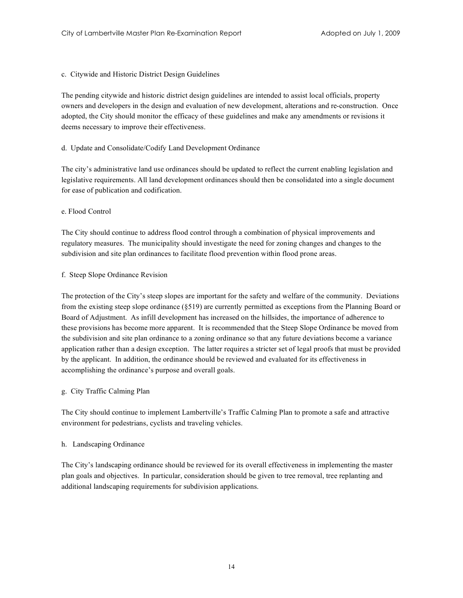## c. Citywide and Historic District Design Guidelines

The pending citywide and historic district design guidelines are intended to assist local officials, property owners and developers in the design and evaluation of new development, alterations and re-construction. Once adopted, the City should monitor the efficacy of these guidelines and make any amendments or revisions it deems necessary to improve their effectiveness.

## d. Update and Consolidate/Codify Land Development Ordinance

The city's administrative land use ordinances should be updated to reflect the current enabling legislation and legislative requirements. All land development ordinances should then be consolidated into a single document for ease of publication and codification.

#### e. Flood Control

The City should continue to address flood control through a combination of physical improvements and regulatory measures. The municipality should investigate the need for zoning changes and changes to the subdivision and site plan ordinances to facilitate flood prevention within flood prone areas.

#### f. Steep Slope Ordinance Revision

The protection of the City's steep slopes are important for the safety and welfare of the community. Deviations from the existing steep slope ordinance (§519) are currently permitted as exceptions from the Planning Board or Board of Adjustment. As infill development has increased on the hillsides, the importance of adherence to these provisions has become more apparent. It is recommended that the Steep Slope Ordinance be moved from the subdivision and site plan ordinance to a zoning ordinance so that any future deviations become a variance application rather than a design exception. The latter requires a stricter set of legal proofs that must be provided by the applicant. In addition, the ordinance should be reviewed and evaluated for its effectiveness in accomplishing the ordinance's purpose and overall goals.

## g. City Traffic Calming Plan

The City should continue to implement Lambertville's Traffic Calming Plan to promote a safe and attractive environment for pedestrians, cyclists and traveling vehicles.

## h. Landscaping Ordinance

The City's landscaping ordinance should be reviewed for its overall effectiveness in implementing the master plan goals and objectives. In particular, consideration should be given to tree removal, tree replanting and additional landscaping requirements for subdivision applications.